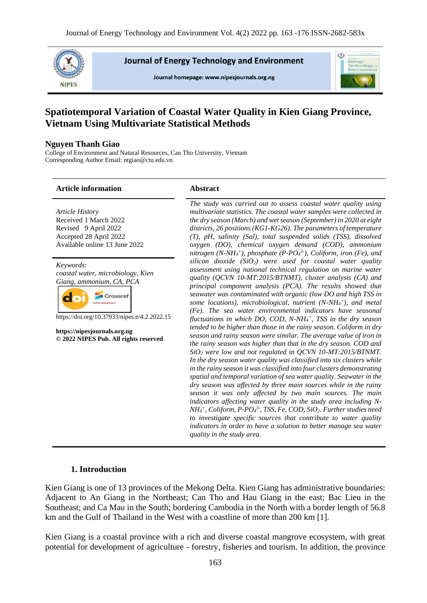

**Journal of Energy Technology and Environment** 

Journal homepage: www.nipesjournals.org.ng



# **Spatiotemporal Variation of Coastal Water Quality in Kien Giang Province, Vietnam Using Multivariate Statistical Methods**

# **Nguyen Thanh Giao**

College of Environment and Natural Resources, Can Tho University, Vietnam Corresponding Author Email: ntgiao@ctu.edu.vn

# **Article information Abstract**

*The study was carried out to assess coastal water quality using Article History multivariate statistics. The coastal water samples were collected in*  Received 1 March 2022 *the dry season (March) and wet season (September) in 2020 at eight*  Revised 9 April 2022 *districts, 26 positions (KG1-KG26). The parameters of temperature*  Accepted 28 April 2022 *(T), pH, salinity (Sal), total suspended solids (TSS), dissolved*  Available online 13 June 2022 *oxygen (DO), chemical oxygen demand (COD), ammonium nitrogen (N-NH<sup>4</sup> + ), phosphate (P-PO<sup>4</sup> 3- ), Coliform, iron (Fe), and silicon dioxide (SiO2) were used for coastal water quality Keywords*: *assessment using national technical regulation on marine water coastal water, microbiology, Kien quality (QCVN 10-MT:2015/BTNMT), cluster analysis (CA) and Giang, ammonium, CA, PCA principal component analysis (PCA). The results showed that seawater was contaminated with organic (low DO and high TSS in*  Crossret d. *some locations), microbiological, nutrient (N-NH<sup>4</sup> + ), and metal (Fe). The sea water environmental indicators have seasonal*  https://doi.org/10.37933/nipes.e/4.2.2022.15 *fluctuations in which DO, COD, N-NH<sup>4</sup> + , TSS in the dry season tended to be higher than those in the rainy season. Coliform in dry*  **https://nipesjournals.org.ng** *season and rainy season were similar. The average value of iron in*  **© 2022 NIPES Pub. All rights reserved** *the rainy season was higher than that in the dry season. COD and SiO<sup>2</sup> were low and not regulated in QCVN 10-MT:2015/BTNMT. In the dry season water quality was classified into six clusters while in the rainy season it was classified into four clusters demonstrating spatial and temporal variation of sea water quality. Seawater in the dry season was affected by three main sources while in the rainy season it was only affected by two main sources. The main indicators affecting water quality in the study area including N-NH<sup>4</sup> + , Coliform, P-PO<sup>4</sup> 3- , TSS, Fe, COD, SiO2. Further studies need to investigate specific sources that contribute to water quality indicators in order to have a solution to better manage sea water quality in the study area.*

# **1. Introduction**

Kien Giang is one of 13 provinces of the Mekong Delta. Kien Giang has administrative boundaries: Adjacent to An Giang in the Northeast; Can Tho and Hau Giang in the east; Bac Lieu in the Southeast; and Ca Mau in the South; bordering Cambodia in the North with a border length of 56.8 km and the Gulf of Thailand in the West with a coastline of more than 200 km [1].

Kien Giang is a coastal province with a rich and diverse coastal mangrove ecosystem, with great potential for development of agriculture - forestry, fisheries and tourism. In addition, the province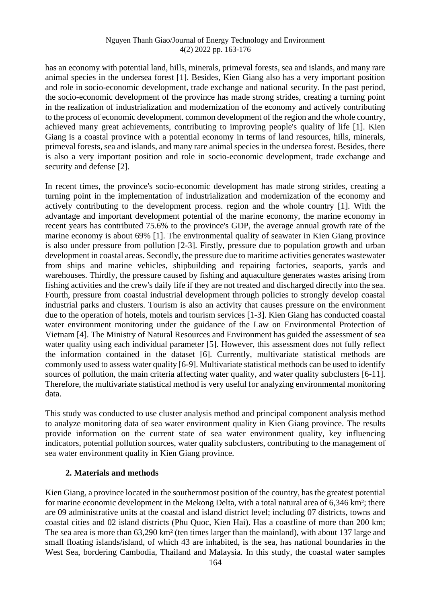has an economy with potential land, hills, minerals, primeval forests, sea and islands, and many rare animal species in the undersea forest [1]. Besides, Kien Giang also has a very important position and role in socio-economic development, trade exchange and national security. In the past period, the socio-economic development of the province has made strong strides, creating a turning point in the realization of industrialization and modernization of the economy and actively contributing to the process of economic development. common development of the region and the whole country, achieved many great achievements, contributing to improving people's quality of life [1]. Kien Giang is a coastal province with a potential economy in terms of land resources, hills, minerals, primeval forests, sea and islands, and many rare animal species in the undersea forest. Besides, there is also a very important position and role in socio-economic development, trade exchange and security and defense [2].

In recent times, the province's socio-economic development has made strong strides, creating a turning point in the implementation of industrialization and modernization of the economy and actively contributing to the development process. region and the whole country [1]. With the advantage and important development potential of the marine economy, the marine economy in recent years has contributed 75.6% to the province's GDP, the average annual growth rate of the marine economy is about 69% [1]. The environmental quality of seawater in Kien Giang province is also under pressure from pollution [2-3]. Firstly, pressure due to population growth and urban development in coastal areas. Secondly, the pressure due to maritime activities generates wastewater from ships and marine vehicles, shipbuilding and repairing factories, seaports, yards and warehouses. Thirdly, the pressure caused by fishing and aquaculture generates wastes arising from fishing activities and the crew's daily life if they are not treated and discharged directly into the sea. Fourth, pressure from coastal industrial development through policies to strongly develop coastal industrial parks and clusters. Tourism is also an activity that causes pressure on the environment due to the operation of hotels, motels and tourism services [1-3]. Kien Giang has conducted coastal water environment monitoring under the guidance of the Law on Environmental Protection of Vietnam [4]. The Ministry of Natural Resources and Environment has guided the assessment of sea water quality using each individual parameter [5]. However, this assessment does not fully reflect the information contained in the dataset [6]. Currently, multivariate statistical methods are commonly used to assess water quality [6-9]. Multivariate statistical methods can be used to identify sources of pollution, the main criteria affecting water quality, and water quality subclusters [6-11]. Therefore, the multivariate statistical method is very useful for analyzing environmental monitoring data.

This study was conducted to use cluster analysis method and principal component analysis method to analyze monitoring data of sea water environment quality in Kien Giang province. The results provide information on the current state of sea water environment quality, key influencing indicators, potential pollution sources, water quality subclusters, contributing to the management of sea water environment quality in Kien Giang province.

# **2. Materials and methods**

Kien Giang, a province located in the southernmost position of the country, has the greatest potential for marine economic development in the Mekong Delta, with a total natural area of 6,346 km²; there are 09 administrative units at the coastal and island district level; including 07 districts, towns and coastal cities and 02 island districts (Phu Quoc, Kien Hai). Has a coastline of more than 200 km; The sea area is more than 63,290 km² (ten times larger than the mainland), with about 137 large and small floating islands/island, of which 43 are inhabited, is the sea, has national boundaries in the West Sea, bordering Cambodia, Thailand and Malaysia. In this study, the coastal water samples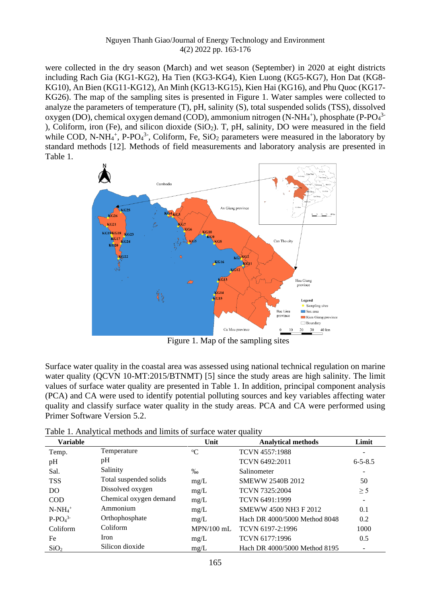were collected in the dry season (March) and wet season (September) in 2020 at eight districts including Rach Gia (KG1-KG2), Ha Tien (KG3-KG4), Kien Luong (KG5-KG7), Hon Dat (KG8- KG10), An Bien (KG11-KG12), An Minh (KG13-KG15), Kien Hai (KG16), and Phu Quoc (KG17- KG26). The map of the sampling sites is presented in Figure 1. Water samples were collected to analyze the parameters of temperature (T), pH, salinity (S), total suspended solids (TSS), dissolved oxygen (DO), chemical oxygen demand (COD), ammonium nitrogen (N-NH<sub>4</sub><sup>+</sup>), phosphate (P-PO<sub>4</sub><sup>3</sup> ), Coliform, iron (Fe), and silicon dioxide (SiO<sub>2</sub>). T, pH, salinity, DO were measured in the field while COD, N-NH<sub>4</sub><sup>+</sup>, P-PO<sub>4</sub><sup>3-</sup>, Coliform, Fe, SiO<sub>2</sub> parameters were measured in the laboratory by standard methods [12]. Methods of field measurements and laboratory analysis are presented in Table 1.



Figure 1. Map of the sampling sites

Surface water quality in the coastal area was assessed using national technical regulation on marine water quality (QCVN 10-MT:2015/BTNMT) [5] since the study areas are high salinity. The limit values of surface water quality are presented in Table 1. In addition, principal component analysis (PCA) and CA were used to identify potential polluting sources and key variables affecting water quality and classify surface water quality in the study areas. PCA and CA were performed using Primer Software Version 5.2.

| <b>Variable</b>  |                        | Unit              | <b>Analytical methods</b>     | Limit         |
|------------------|------------------------|-------------------|-------------------------------|---------------|
| Temp.            | Temperature            | $\rm ^{o}C$       | <b>TCVN 4557:1988</b>         |               |
| pH               | pH                     |                   | TCVN 6492:2011                | $6 - 5 - 8.5$ |
| Sal.             | Salinity               | $\%$ <sub>0</sub> | Salinometer                   |               |
| <b>TSS</b>       | Total suspended solids | mg/L              | <b>SMEWW 2540B 2012</b>       | 50            |
| D <sub>O</sub>   | Dissolved oxygen       | mg/L              | <b>TCVN 7325:2004</b>         | $\geq$ 5      |
| <b>COD</b>       | Chemical oxygen demand | mg/L              | TCVN 6491:1999                |               |
| $N-NH_4^+$       | Ammonium               | mg/L              | <b>SMEWW 4500 NH3 F 2012</b>  | 0.1           |
| $P-PO43$         | Orthophosphate         | mg/L              | Hach DR 4000/5000 Method 8048 | 0.2           |
| Coliform         | Coliform               | $MPN/100$ mL      | TCVN 6197-2:1996              | 1000          |
| Fe               | Iron                   | mg/L              | TCVN 6177:1996                | 0.5           |
| SiO <sub>2</sub> | Silicon dioxide        | mg/L              | Hach DR 4000/5000 Method 8195 |               |

Table 1. Analytical methods and limits of surface water quality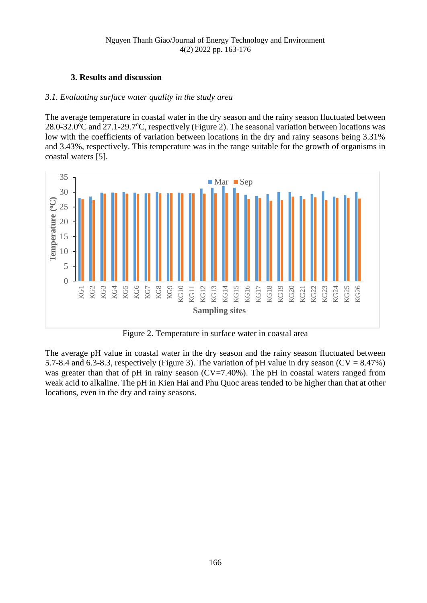# **3. Results and discussion**

# *3.1. Evaluating surface water quality in the study area*

The average temperature in coastal water in the dry season and the rainy season fluctuated between 28.0-32.0 $\degree$ C and 27.1-29.7 $\degree$ C, respectively (Figure 2). The seasonal variation between locations was low with the coefficients of variation between locations in the dry and rainy seasons being 3.31% and 3.43%, respectively. This temperature was in the range suitable for the growth of organisms in coastal waters [5].



Figure 2. Temperature in surface water in coastal area

The average pH value in coastal water in the dry season and the rainy season fluctuated between 5.7-8.4 and 6.3-8.3, respectively (Figure 3). The variation of pH value in dry season ( $CV = 8.47\%$ ) was greater than that of pH in rainy season  $(CV=7.40\%)$ . The pH in coastal waters ranged from weak acid to alkaline. The pH in Kien Hai and Phu Quoc areas tended to be higher than that at other locations, even in the dry and rainy seasons.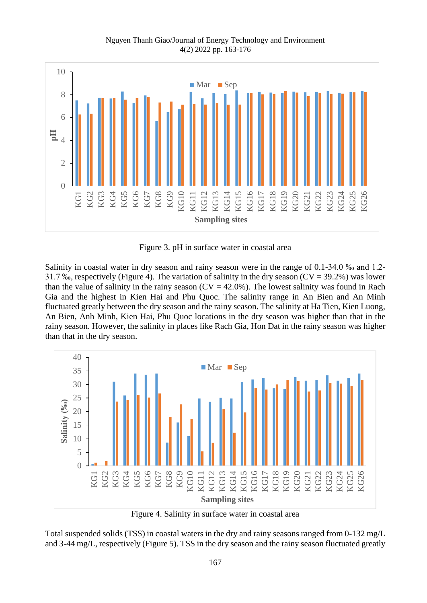

Figure 3. pH in surface water in coastal area

Salinity in coastal water in dry season and rainy season were in the range of 0.1-34.0 ‰ and 1.2- 31.7 ‰, respectively (Figure 4). The variation of salinity in the dry season ( $CV = 39.2\%$ ) was lower than the value of salinity in the rainy season  $(CV = 42.0\%)$ . The lowest salinity was found in Rach Gia and the highest in Kien Hai and Phu Quoc. The salinity range in An Bien and An Minh fluctuated greatly between the dry season and the rainy season. The salinity at Ha Tien, Kien Luong, An Bien, Anh Minh, Kien Hai, Phu Quoc locations in the dry season was higher than that in the rainy season. However, the salinity in places like Rach Gia, Hon Dat in the rainy season was higher than that in the dry season.



Figure 4. Salinity in surface water in coastal area

Total suspended solids (TSS) in coastal waters in the dry and rainy seasons ranged from 0-132 mg/L and 3-44 mg/L, respectively (Figure 5). TSS in the dry season and the rainy season fluctuated greatly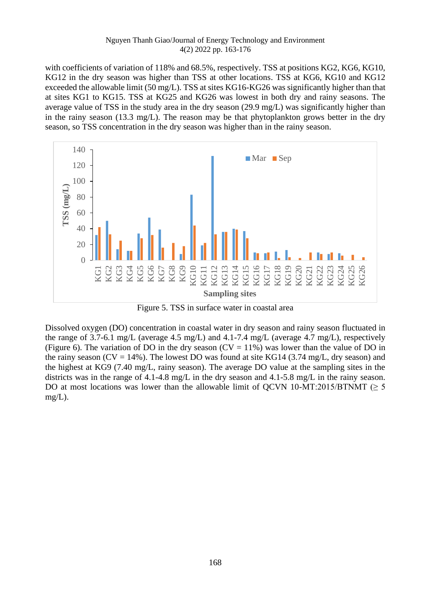with coefficients of variation of 118% and 68.5%, respectively. TSS at positions KG2, KG6, KG10, KG12 in the dry season was higher than TSS at other locations. TSS at KG6, KG10 and KG12 exceeded the allowable limit (50 mg/L). TSS at sites KG16-KG26 was significantly higher than that at sites KG1 to KG15. TSS at KG25 and KG26 was lowest in both dry and rainy seasons. The average value of TSS in the study area in the dry season (29.9 mg/L) was significantly higher than in the rainy season (13.3 mg/L). The reason may be that phytoplankton grows better in the dry season, so TSS concentration in the dry season was higher than in the rainy season.



Figure 5. TSS in surface water in coastal area

Dissolved oxygen (DO) concentration in coastal water in dry season and rainy season fluctuated in the range of 3.7-6.1 mg/L (average 4.5 mg/L) and 4.1-7.4 mg/L (average 4.7 mg/L), respectively (Figure 6). The variation of DO in the dry season ( $CV = 11\%$ ) was lower than the value of DO in the rainy season ( $CV = 14\%$ ). The lowest DO was found at site KG14 (3.74 mg/L, dry season) and the highest at KG9 (7.40 mg/L, rainy season). The average DO value at the sampling sites in the districts was in the range of 4.1-4.8 mg/L in the dry season and 4.1-5.8 mg/L in the rainy season. DO at most locations was lower than the allowable limit of QCVN 10-MT:2015/BTNMT ( $\geq$  5 mg/L).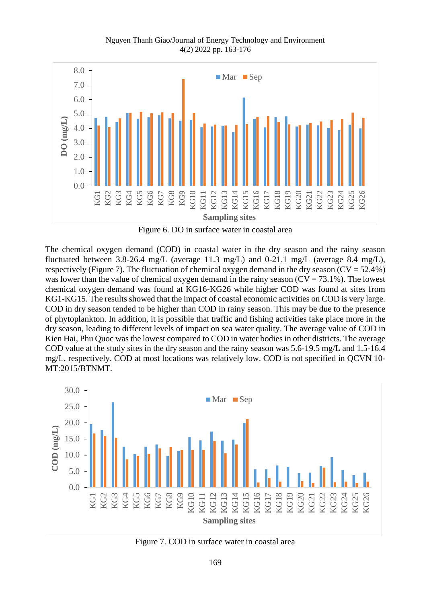Nguyen Thanh Giao/Journal of Energy Technology and Environment 4(2) 2022 pp. 163-176



Figure 6. DO in surface water in coastal area

The chemical oxygen demand (COD) in coastal water in the dry season and the rainy season fluctuated between 3.8-26.4 mg/L (average 11.3 mg/L) and 0-21.1 mg/L (average 8.4 mg/L), respectively (Figure 7). The fluctuation of chemical oxygen demand in the dry season ( $CV = 52.4\%$ ) was lower than the value of chemical oxygen demand in the rainy season  $(CV = 73.1\%)$ . The lowest chemical oxygen demand was found at KG16-KG26 while higher COD was found at sites from KG1-KG15. The results showed that the impact of coastal economic activities on COD is very large. COD in dry season tended to be higher than COD in rainy season. This may be due to the presence of phytoplankton. In addition, it is possible that traffic and fishing activities take place more in the dry season, leading to different levels of impact on sea water quality. The average value of COD in Kien Hai, Phu Quoc was the lowest compared to COD in water bodies in other districts. The average COD value at the study sites in the dry season and the rainy season was 5.6-19.5 mg/L and 1.5-16.4 mg/L, respectively. COD at most locations was relatively low. COD is not specified in QCVN 10- MT:2015/BTNMT.



Figure 7. COD in surface water in coastal area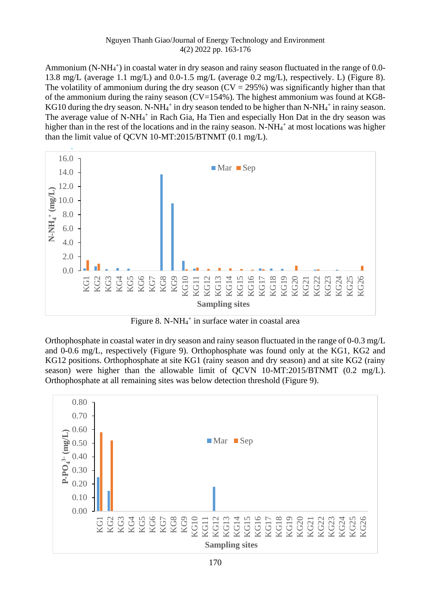Ammonium (N-NH<sub>4</sub><sup>+</sup>) in coastal water in dry season and rainy season fluctuated in the range of 0.0-13.8 mg/L (average 1.1 mg/L) and 0.0-1.5 mg/L (average 0.2 mg/L), respectively. L) (Figure 8). The volatility of ammonium during the dry season  $(CV = 295%)$  was significantly higher than that of the ammonium during the rainy season ( $CV=154%$ ). The highest ammonium was found at KG8-KG10 during the dry season. N-NH<sub>4</sub><sup>+</sup> in dry season tended to be higher than N-NH<sub>4</sub><sup>+</sup> in rainy season. The average value of N-NH<sub>4</sub><sup>+</sup> in Rach Gia, Ha Tien and especially Hon Dat in the dry season was higher than in the rest of the locations and in the rainy season. N-NH<sub>4</sub><sup>+</sup> at most locations was higher than the limit value of QCVN 10-MT:2015/BTNMT (0.1 mg/L).



Figure 8. N-N $H_4$ <sup>+</sup> in surface water in coastal area

Orthophosphate in coastal water in dry season and rainy season fluctuated in the range of 0-0.3 mg/L and 0-0.6 mg/L, respectively (Figure 9). Orthophosphate was found only at the KG1, KG2 and KG12 positions. Orthophosphate at site KG1 (rainy season and dry season) and at site KG2 (rainy season) were higher than the allowable limit of QCVN 10-MT:2015/BTNMT (0.2 mg/L). Orthophosphate at all remaining sites was below detection threshold (Figure 9).

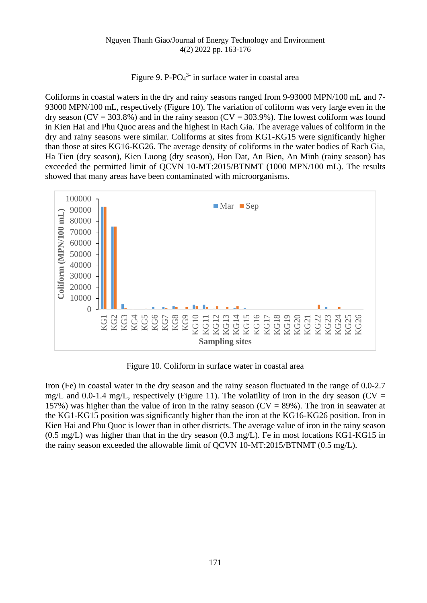Figure 9. P-P $O_4^3$  in surface water in coastal area

Coliforms in coastal waters in the dry and rainy seasons ranged from 9-93000 MPN/100 mL and 7- 93000 MPN/100 mL, respectively (Figure 10). The variation of coliform was very large even in the dry season ( $CV = 303.8\%$ ) and in the rainy season ( $CV = 303.9\%$ ). The lowest coliform was found in Kien Hai and Phu Quoc areas and the highest in Rach Gia. The average values of coliform in the dry and rainy seasons were similar. Coliforms at sites from KG1-KG15 were significantly higher than those at sites KG16-KG26. The average density of coliforms in the water bodies of Rach Gia, Ha Tien (dry season), Kien Luong (dry season), Hon Dat, An Bien, An Minh (rainy season) has exceeded the permitted limit of QCVN 10-MT:2015/BTNMT (1000 MPN/100 mL). The results showed that many areas have been contaminated with microorganisms.



Figure 10. Coliform in surface water in coastal area

Iron (Fe) in coastal water in the dry season and the rainy season fluctuated in the range of 0.0-2.7 mg/L and 0.0-1.4 mg/L, respectively (Figure 11). The volatility of iron in the dry season (CV = 157%) was higher than the value of iron in the rainy season ( $CV = 89$ %). The iron in seawater at the KG1-KG15 position was significantly higher than the iron at the KG16-KG26 position. Iron in Kien Hai and Phu Quoc is lower than in other districts. The average value of iron in the rainy season (0.5 mg/L) was higher than that in the dry season (0.3 mg/L). Fe in most locations KG1-KG15 in the rainy season exceeded the allowable limit of QCVN 10-MT:2015/BTNMT (0.5 mg/L).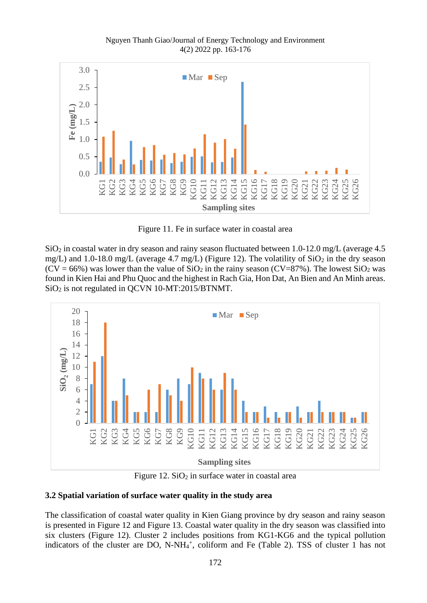Nguyen Thanh Giao/Journal of Energy Technology and Environment 4(2) 2022 pp. 163-176



Figure 11. Fe in surface water in coastal area

 $SiO<sub>2</sub>$  in coastal water in dry season and rainy season fluctuated between 1.0-12.0 mg/L (average 4.5 mg/L) and 1.0-18.0 mg/L (average 4.7 mg/L) (Figure 12). The volatility of  $SiO<sub>2</sub>$  in the dry season  $(CV = 66\%)$  was lower than the value of  $SiO<sub>2</sub>$  in the rainy season  $(CV=87\%)$ . The lowest  $SiO<sub>2</sub>$  was found in Kien Hai and Phu Quoc and the highest in Rach Gia, Hon Dat, An Bien and An Minh areas. SiO<sup>2</sup> is not regulated in QCVN 10-MT:2015/BTNMT.



Figure 12.  $SiO<sub>2</sub>$  in surface water in coastal area

# **3.2 Spatial variation of surface water quality in the study area**

The classification of coastal water quality in Kien Giang province by dry season and rainy season is presented in Figure 12 and Figure 13. Coastal water quality in the dry season was classified into six clusters (Figure 12). Cluster 2 includes positions from KG1-KG6 and the typical pollution indicators of the cluster are DO, N-NH<sub>4</sub><sup>+</sup>, coliform and Fe (Table 2). TSS of cluster 1 has not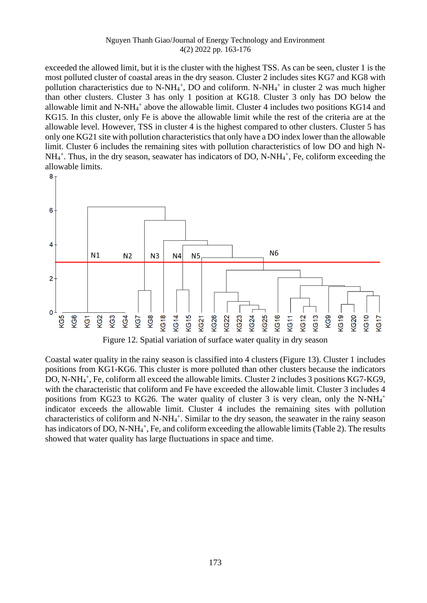exceeded the allowed limit, but it is the cluster with the highest TSS. As can be seen, cluster 1 is the most polluted cluster of coastal areas in the dry season. Cluster 2 includes sites KG7 and KG8 with pollution characteristics due to N-NH<sub>4</sub><sup>+</sup>, DO and coliform. N-NH<sub>4</sub><sup>+</sup> in cluster 2 was much higher than other clusters. Cluster 3 has only 1 position at KG18. Cluster 3 only has DO below the allowable limit and N-NH<sub>4</sub><sup>+</sup> above the allowable limit. Cluster 4 includes two positions KG14 and KG15. In this cluster, only Fe is above the allowable limit while the rest of the criteria are at the allowable level. However, TSS in cluster 4 is the highest compared to other clusters. Cluster 5 has only one KG21 site with pollution characteristics that only have a DO index lower than the allowable limit. Cluster 6 includes the remaining sites with pollution characteristics of low DO and high N-NH<sub>4</sub><sup>+</sup>. Thus, in the dry season, seawater has indicators of DO, N-NH<sub>4</sub><sup>+</sup>, Fe, coliform exceeding the allowable limits.





Coastal water quality in the rainy season is classified into 4 clusters (Figure 13). Cluster 1 includes positions from KG1-KG6. This cluster is more polluted than other clusters because the indicators DO, N-NH<sub>4</sub><sup>+</sup>, Fe, coliform all exceed the allowable limits. Cluster 2 includes 3 positions KG7-KG9, with the characteristic that coliform and Fe have exceeded the allowable limit. Cluster 3 includes 4 positions from KG23 to KG26. The water quality of cluster 3 is very clean, only the N-NH $_4$ <sup>+</sup> indicator exceeds the allowable limit. Cluster 4 includes the remaining sites with pollution characteristics of coliform and N-NH<sub>4</sub><sup>+</sup>. Similar to the dry season, the seawater in the rainy season has indicators of DO, N-NH<sub>4</sub><sup>+</sup>, Fe, and coliform exceeding the allowable limits (Table 2). The results showed that water quality has large fluctuations in space and time.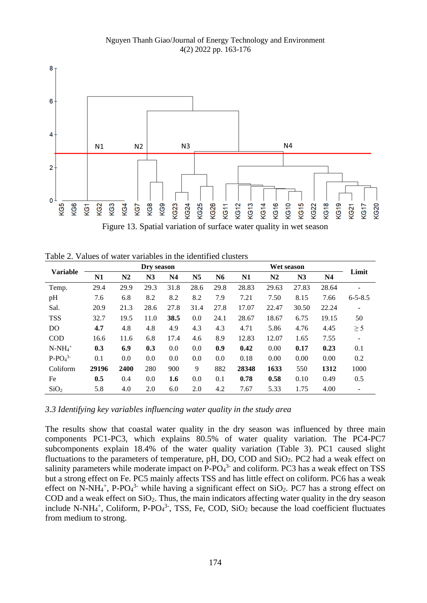Nguyen Thanh Giao/Journal of Energy Technology and Environment 4(2) 2022 pp. 163-176



| <b>Variable</b>  | Dry season     |                |      |                | Wet season     |      |       |       | Limit |       |                              |
|------------------|----------------|----------------|------|----------------|----------------|------|-------|-------|-------|-------|------------------------------|
|                  | N <sub>1</sub> | N <sub>2</sub> | N3   | N <sub>4</sub> | N <sub>5</sub> | N6   | N1    | N2    | N3    | N4    |                              |
| Temp.            | 29.4           | 29.9           | 29.3 | 31.8           | 28.6           | 29.8 | 28.83 | 29.63 | 27.83 | 28.64 | $\qquad \qquad$              |
| pH               | 7.6            | 6.8            | 8.2  | 8.2            | 8.2            | 7.9  | 7.21  | 7.50  | 8.15  | 7.66  | $6 - 5 - 8.5$                |
| Sal.             | 20.9           | 21.3           | 28.6 | 27.8           | 31.4           | 27.8 | 17.07 | 22.47 | 30.50 | 22.24 | $\overline{\phantom{0}}$     |
| <b>TSS</b>       | 32.7           | 19.5           | 11.0 | 38.5           | 0.0            | 24.1 | 28.67 | 18.67 | 6.75  | 19.15 | 50                           |
| D <sub>O</sub>   | 4.7            | 4.8            | 4.8  | 4.9            | 4.3            | 4.3  | 4.71  | 5.86  | 4.76  | 4.45  | $\geq$ 5                     |
| <b>COD</b>       | 16.6           | 11.6           | 6.8  | 17.4           | 4.6            | 8.9  | 12.83 | 12.07 | 1.65  | 7.55  | $\qquad \qquad \blacksquare$ |
| $N-NH_4^+$       | 0.3            | 6.9            | 0.3  | 0.0            | 0.0            | 0.9  | 0.42  | 0.00  | 0.17  | 0.23  | 0.1                          |
| $P-PO43$         | 0.1            | 0.0            | 0.0  | 0.0            | 0.0            | 0.0  | 0.18  | 0.00  | 0.00  | 0.00  | 0.2                          |
| Coliform         | 29196          | 2400           | 280  | 900            | 9              | 882  | 28348 | 1633  | 550   | 1312  | 1000                         |
| Fe               | 0.5            | 0.4            | 0.0  | 1.6            | 0.0            | 0.1  | 0.78  | 0.58  | 0.10  | 0.49  | 0.5                          |
| SiO <sub>2</sub> | 5.8            | 4.0            | 2.0  | 6.0            | 2.0            | 4.2  | 7.67  | 5.33  | 1.75  | 4.00  | $\qquad \qquad$              |

Table 2. Values of water variables in the identified clusters

*3.3 Identifying key variables influencing water quality in the study area*

The results show that coastal water quality in the dry season was influenced by three main components PC1-PC3, which explains 80.5% of water quality variation. The PC4-PC7 subcomponents explain 18.4% of the water quality variation (Table 3). PC1 caused slight fluctuations to the parameters of temperature, pH, DO, COD and  $SiO<sub>2</sub>$ . PC2 had a weak effect on salinity parameters while moderate impact on  $P$ - $PO<sub>4</sub><sup>3</sup>$  and coliform. PC3 has a weak effect on TSS but a strong effect on Fe. PC5 mainly affects TSS and has little effect on coliform. PC6 has a weak effect on N-NH<sub>4</sub><sup>+</sup>, P-PO<sub>4</sub><sup>3-</sup> while having a significant effect on SiO<sub>2</sub>. PC7 has a strong effect on COD and a weak effect on SiO2. Thus, the main indicators affecting water quality in the dry season include N-NH<sub>4</sub><sup>+</sup>, Coliform, P-PO<sub>4</sub><sup>3-</sup>, TSS, Fe, COD, SiO<sub>2</sub> because the load coefficient fluctuates from medium to strong.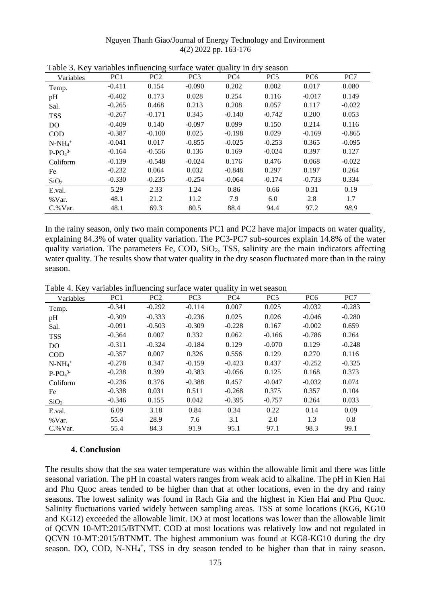| Variables        | PC <sub>1</sub> | PC <sub>2</sub> | PC <sub>3</sub> | PC <sub>4</sub> | PC <sub>5</sub> | PC <sub>6</sub> | PC7      |
|------------------|-----------------|-----------------|-----------------|-----------------|-----------------|-----------------|----------|
| Temp.            | $-0.411$        | 0.154           | $-0.090$        | 0.202           | 0.002           | 0.017           | 0.080    |
| pH               | $-0.402$        | 0.173           | 0.028           | 0.254           | 0.116           | $-0.017$        | 0.149    |
| Sal.             | $-0.265$        | 0.468           | 0.213           | 0.208           | 0.057           | 0.117           | $-0.022$ |
| <b>TSS</b>       | $-0.267$        | $-0.171$        | 0.345           | $-0.140$        | $-0.742$        | 0.200           | 0.053    |
| D <sub>O</sub>   | $-0.409$        | 0.140           | $-0.097$        | 0.099           | 0.150           | 0.214           | 0.116    |
| <b>COD</b>       | $-0.387$        | $-0.100$        | 0.025           | $-0.198$        | 0.029           | $-0.169$        | $-0.865$ |
| $N-NH_4^+$       | $-0.041$        | 0.017           | $-0.855$        | $-0.025$        | $-0.253$        | 0.365           | $-0.095$ |
| $P-PO43$         | $-0.164$        | $-0.556$        | 0.136           | 0.169           | $-0.024$        | 0.397           | 0.127    |
| Coliform         | $-0.139$        | $-0.548$        | $-0.024$        | 0.176           | 0.476           | 0.068           | $-0.022$ |
| Fe               | $-0.232$        | 0.064           | 0.032           | $-0.848$        | 0.297           | 0.197           | 0.264    |
| SiO <sub>2</sub> | $-0.330$        | $-0.235$        | $-0.254$        | $-0.064$        | $-0.174$        | $-0.733$        | 0.334    |
| E.val.           | 5.29            | 2.33            | 1.24            | 0.86            | 0.66            | 0.31            | 0.19     |
| $\%$ Var.        | 48.1            | 21.2            | 11.2            | 7.9             | 6.0             | 2.8             | 1.7      |
| $C$ .% Var.      | 48.1            | 69.3            | 80.5            | 88.4            | 94.4            | 97.2            | 98.9     |

|  | Table 3. Key variables influencing surface water quality in dry season |  |  |
|--|------------------------------------------------------------------------|--|--|
|  |                                                                        |  |  |

In the rainy season, only two main components PC1 and PC2 have major impacts on water quality, explaining 84.3% of water quality variation. The PC3-PC7 sub-sources explain 14.8% of the water quality variation. The parameters Fe, COD,  $SiO<sub>2</sub>$ , TSS, salinity are the main indicators affecting water quality. The results show that water quality in the dry season fluctuated more than in the rainy season.

Table 4. Key variables influencing surface water quality in wet season

| Variables        | PC <sub>1</sub> | PC <sub>2</sub> | PC <sub>3</sub> | PC <sub>4</sub> | PC <sub>5</sub> | PC <sub>6</sub> | PC7      |
|------------------|-----------------|-----------------|-----------------|-----------------|-----------------|-----------------|----------|
| Temp.            | $-0.341$        | $-0.292$        | $-0.114$        | 0.007           | 0.025           | $-0.032$        | $-0.283$ |
| pH               | $-0.309$        | $-0.333$        | $-0.236$        | 0.025           | 0.026           | $-0.046$        | $-0.280$ |
| Sal.             | $-0.091$        | $-0.503$        | $-0.309$        | $-0.228$        | 0.167           | $-0.002$        | 0.659    |
| <b>TSS</b>       | $-0.364$        | 0.007           | 0.332           | 0.062           | $-0.166$        | $-0.786$        | 0.264    |
| D <sub>O</sub>   | $-0.311$        | $-0.324$        | $-0.184$        | 0.129           | $-0.070$        | 0.129           | $-0.248$ |
| <b>COD</b>       | $-0.357$        | 0.007           | 0.326           | 0.556           | 0.129           | 0.270           | 0.116    |
| $N-NH_4^+$       | $-0.278$        | 0.347           | $-0.159$        | $-0.423$        | 0.437           | $-0.252$        | $-0.325$ |
| $P-PO43$         | $-0.238$        | 0.399           | $-0.383$        | $-0.056$        | 0.125           | 0.168           | 0.373    |
| Coliform         | $-0.236$        | 0.376           | $-0.388$        | 0.457           | $-0.047$        | $-0.032$        | 0.074    |
| Fe               | $-0.338$        | 0.031           | 0.511           | $-0.268$        | 0.375           | 0.357           | 0.104    |
| SiO <sub>2</sub> | $-0.346$        | 0.155           | 0.042           | $-0.395$        | $-0.757$        | 0.264           | 0.033    |
| E.val.           | 6.09            | 3.18            | 0.84            | 0.34            | 0.22            | 0.14            | 0.09     |
| %Var.            | 55.4            | 28.9            | 7.6             | 3.1             | 2.0             | 1.3             | 0.8      |
| $C.$ % Var.      | 55.4            | 84.3            | 91.9            | 95.1            | 97.1            | 98.3            | 99.1     |

# **4. Conclusion**

The results show that the sea water temperature was within the allowable limit and there was little seasonal variation. The pH in coastal waters ranges from weak acid to alkaline. The pH in Kien Hai and Phu Quoc areas tended to be higher than that at other locations, even in the dry and rainy seasons. The lowest salinity was found in Rach Gia and the highest in Kien Hai and Phu Quoc. Salinity fluctuations varied widely between sampling areas. TSS at some locations (KG6, KG10 and KG12) exceeded the allowable limit. DO at most locations was lower than the allowable limit of QCVN 10-MT:2015/BTNMT. COD at most locations was relatively low and not regulated in QCVN 10-MT:2015/BTNMT. The highest ammonium was found at KG8-KG10 during the dry season. DO, COD, N-NH<sub>4</sub><sup>+</sup>, TSS in dry season tended to be higher than that in rainy season.